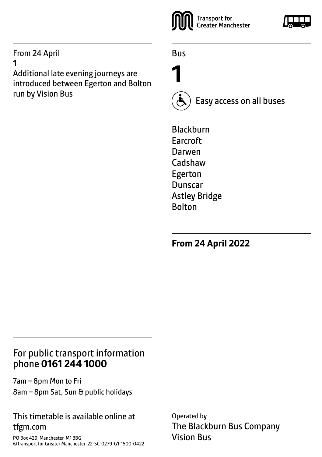#### From 24 April **1**

Additional late evening journeys are introduced between Egerton and Bolton run by Vision Bus



Bus

**1**



Easy access on all buses

Blackburn Earcroft Darwen Cadshaw Egerton Dunscar Astley Bridge Bolton

**From 24 April 2022**

#### For public transport information phone **0161 244 1000**

7am – 8pm Mon to Fri 8am – 8pm Sat, Sun & public holidays

#### This timetable is available online at tfgm.com

PO Box 429, Manchester, M1 3BG ©Transport for Greater Manchester 22-SC-0279-G1-1500-0422 Operated by The Blackburn Bus Company Vision Bus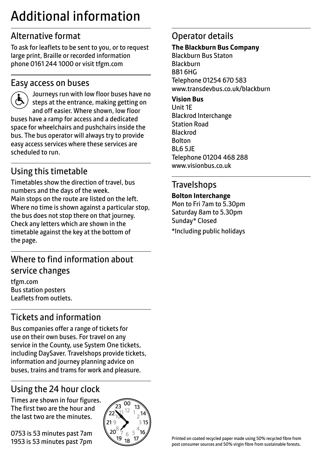# Additional information

# Alternative format

To ask for leaflets to be sent to you, or to request large print, Braille or recorded information phone 0161 244 1000 or visit tfgm.com

#### Easy access on buses



 Journeys run with low floor buses have no steps at the entrance, making getting on and off easier. Where shown, low floor buses have a ramp for access and a dedicated space for wheelchairs and pushchairs inside the bus. The bus operator will always try to provide easy access services where these services are scheduled to run.

# Using this timetable

Timetables show the direction of travel, bus numbers and the days of the week. Main stops on the route are listed on the left. Where no time is shown against a particular stop, the bus does not stop there on that journey. Check any letters which are shown in the timetable against the key at the bottom of the page.

# Where to find information about service changes

tfgm.com Bus station posters Leaflets from outlets.

# Tickets and information

Bus companies offer a range of tickets for use on their own buses. For travel on any service in the County, use System One tickets, including DaySaver. Travelshops provide tickets, information and journey planning advice on buses, trains and trams for work and pleasure.

# Using the 24 hour clock

Times are shown in four figures. The first two are the hour and the last two are the minutes.

0753 is 53 minutes past 7am 1953 is 53 minutes past 7pm



## Operator details

#### **The Blackburn Bus Company**

Blackburn Bus Staton Blackburn BB1 6HG Telephone 01254 670 583 www.transdevbus.co.uk/blackburn

#### **Vision Bus**

Unit 1E Blackrod Interchange Station Road Blackrod Bolton BL6 5JE Telephone 01204 468 288 www.visionbus.co.uk

#### **Travelshops**

#### **Bolton Interchange**

Mon to Fri 7am to 5.30pm Saturday 8am to 5.30pm Sunday\* Closed \*Including public holidays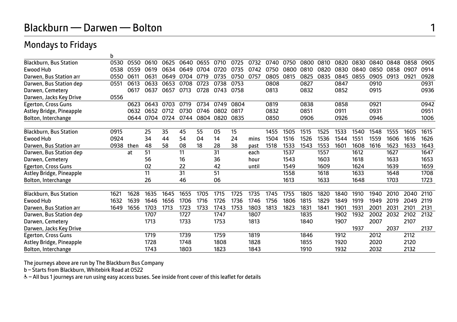## Blackburn — Darwen — Bolton 1

b

#### Mondays to Fridays

|                               | υ    |      |      |      |      |      |      |      |       |      |      |      |      |      |      |      |      |      |      |
|-------------------------------|------|------|------|------|------|------|------|------|-------|------|------|------|------|------|------|------|------|------|------|
| <b>Blackburn, Bus Station</b> | 0530 | 0550 | 0610 | 0625 | 0640 | 0655 | 0710 | 0725 | 0732  | 0740 | 0750 | 0800 | 0810 | 0820 | 0830 | 0840 | 0848 | 0858 | 0905 |
| Ewood Hub                     | 0538 | 0559 | 0619 | 0634 | 0649 | 0704 | 0720 | 0735 | 0742  | 0750 | 0800 | 0810 | 0820 | 0830 | 0840 | 0850 | 0858 | 0907 | 0914 |
| Darwen, Bus Station arr       | 0550 | 0611 | 0631 | 0649 | 0704 | 0719 | 0735 | 0750 | 0757  | 0805 | 0815 | 0825 | 0835 | 0845 | 0855 | 0905 | 0913 | 092  | 0928 |
| Darwen, Bus Station dep       | 0551 | 0613 | 0633 | 0653 | 0708 | 0723 | 0738 | 0753 |       | 0808 |      | 0827 |      | 0847 |      | 0910 |      |      | 0931 |
| Darwen, Cemetery              |      | 0617 | 0637 | 0657 | 0713 | 0728 | 0743 | 0758 |       | 0813 |      | 0832 |      | 0852 |      | 0915 |      |      | 0936 |
| Darwen, Jacks Key Drive       | 0556 |      |      |      |      |      |      |      |       |      |      |      |      |      |      |      |      |      |      |
| Egerton, Cross Guns           |      | 0623 | 0643 | 0703 | 0719 | 0734 | 0749 | 0804 |       | 0819 |      | 0838 |      | 0858 |      | 0921 |      |      | 0942 |
| Astley Bridge, Pineapple      |      | 0632 | 0652 | 0712 | 0730 | 0746 | 0802 | 0817 |       | 0832 |      | 0851 |      | 0911 |      | 0931 |      |      | 0951 |
| Bolton, Interchange           |      | 0644 | 0704 | 0724 | 0744 | 0804 | 0820 | 0835 |       | 0850 |      | 0906 |      | 0926 |      | 0946 |      |      | 1006 |
|                               |      |      |      |      |      |      |      |      |       |      |      |      |      |      |      |      |      |      |      |
| <b>Blackburn, Bus Station</b> | 0915 |      | 25   | 35   | 45   | 55   | 05   | 15   |       | 1455 | 1505 | 1515 | 1525 | 1533 | 1540 | 1548 | 1555 | 1605 | 1615 |
| <b>Ewood Hub</b>              | 0924 |      | 34   | 44   | 54   | 04   | 14   | 24   | mins  | 1504 | 1516 | 1526 | 1536 | 1544 | 1551 | 1559 | 1606 | 1616 | 1626 |
| Darwen, Bus Station arr       | 0938 | then | 48   | 58   | 08   | 18   | 28   | 38   | past  | 1518 | 1533 | 1543 | 1553 | 1601 | 1608 | 1616 | 1623 | 1633 | 1643 |
| Darwen, Bus Station dep       |      | at   | 51   |      | 11   |      | 31   |      | each  |      | 1537 |      | 1557 |      | 1612 |      | 1627 |      | 1647 |
| Darwen, Cemetery              |      |      | 56   |      | 16   |      | 36   |      | hour  |      | 1543 |      | 1603 |      | 1618 |      | 1633 |      | 1653 |
| Egerton, Cross Guns           |      |      | 02   |      | 22   |      | 42   |      | until |      | 1549 |      | 1609 |      | 1624 |      | 1639 |      | 1659 |
| Astley Bridge, Pineapple      |      |      | 11   |      | 31   |      | 51   |      |       |      | 1558 |      | 1618 |      | 1633 |      | 1648 |      | 1708 |
| Bolton, Interchange           |      |      | 26   |      | 46   |      | 06   |      |       |      | 1613 |      | 1633 |      | 1648 |      | 1703 |      | 1723 |
| <b>Blackburn, Bus Station</b> | 1621 | 1628 | 1635 | 1645 | 1655 | 1705 | 1715 | 1725 | 1735  | 1745 | 1755 | 1805 | 1820 | 1840 | 1910 | 1940 | 2010 | 2040 | 2110 |
| <b>Ewood Hub</b>              | 1632 | 1639 | 1646 | 1656 | 1706 | 1716 | 1726 | 1736 | 1746  | 1756 | 1806 | 1815 | 1829 | 1849 | 1919 | 1949 | 2019 | 2049 | 2119 |
| Darwen, Bus Station arr       | 1649 | 1656 | 1703 | 1713 | 1723 | 1733 | 1743 | 1753 | 1803  | 1813 | 1823 | 1831 | 1841 | 1901 | 1931 | 2001 | 2031 | 2101 | 2131 |
|                               |      |      | 1707 |      | 1727 |      | 1747 |      | 1807  |      |      | 1835 |      | 1902 | 1932 | 2002 | 2032 | 2102 | 2132 |
| Darwen, Bus Station dep       |      |      |      |      |      |      |      |      |       |      |      |      |      |      |      |      |      | 2107 |      |
| Darwen, Cemetery              |      |      | 1713 |      | 1733 |      | 1753 |      | 1813  |      |      | 1840 |      | 1907 | 1937 | 2007 | 2037 |      | 2137 |
| Darwen, Jacks Key Drive       |      |      | 1719 |      | 1739 |      | 1759 |      | 1819  |      |      | 1846 |      | 1912 |      | 2012 |      | 2112 |      |
| <b>Egerton, Cross Guns</b>    |      |      |      |      |      |      |      |      |       |      |      |      |      |      |      |      |      |      |      |
| Astley Bridge, Pineapple      |      |      | 1728 |      | 1748 |      | 1808 |      | 1828  |      |      | 1855 |      | 1920 |      | 2020 |      | 2120 |      |
| Bolton, Interchange           |      |      | 1743 |      | 1803 |      | 1823 |      | 1843  |      |      | 1910 |      | 1932 |      | 2032 |      | 2132 |      |

The journeys above are run by The Blackburn Bus Company

b – Starts from Blackburn, Whitebirk Road at 0522

& - All bus 1 journeys are run using easy access buses. See inside front cover of this leaflet for details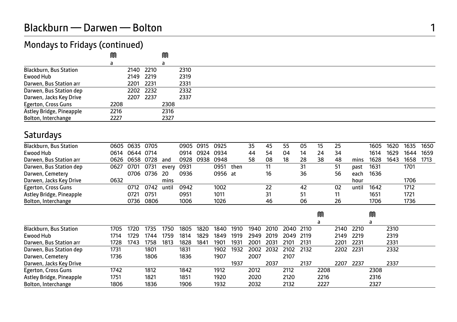## Mondays to Fridays (continued)

|                               | M    |           | M    |      |
|-------------------------------|------|-----------|------|------|
|                               | a    |           |      |      |
| <b>Blackburn, Bus Station</b> |      | 2140 2210 |      | 2310 |
| Ewood Hub                     |      | 2149 2219 |      | 2319 |
| Darwen, Bus Station arr       |      | 2201 2231 |      | 2331 |
| Darwen, Bus Station dep       |      | 2202 2232 |      | 2332 |
| Darwen, Jacks Key Drive       |      | 2207 2237 |      | 2337 |
| Egerton, Cross Guns           | 2208 |           | 2308 |      |
| Astley Bridge, Pineapple      | 2216 |           | 2316 |      |
| Bolton, Interchange           | 2227 |           | 2327 |      |

## Saturdays

| <b>Blackburn, Bus Station</b> |      | 0605 0635 0705 |           |       | 0905 0915 |      | 0925    |      | 35 | 45 | 55 | 05 |    | 25 |       | 1605 | 1620 | 1635 | 1650 |
|-------------------------------|------|----------------|-----------|-------|-----------|------|---------|------|----|----|----|----|----|----|-------|------|------|------|------|
| Ewood Hub                     | 0614 | 0644 0714      |           |       | 0914      | 0924 | 0934    |      | 44 | 54 | 04 | 14 | 24 | 34 |       | 1614 | 1629 | 1644 | 1659 |
| Darwen, Bus Station arr       |      | 0626 0658 0728 |           | and   | 0928      | 0938 | 0948    |      | 58 | 08 | 18 | 28 | 38 | 48 | mins  | 1628 | 1643 | 1658 | 1713 |
| Darwen, Bus Station dep       | 0627 | 0701           | 0731      | every | 0931      |      | 0951    | then |    | 11 |    | 31 |    | 51 | past  | 1631 |      | 1701 |      |
| Darwen, Cemetery              |      | 0706 0736      |           | - 20  | 0936      |      | 0956 at |      |    | 16 |    | 36 |    | 56 | each  | 1636 |      |      |      |
| Darwen, Jacks Key Drive       | 0632 |                |           | mins  |           |      |         |      |    |    |    |    |    |    | hour  |      |      | 1706 |      |
| Egerton, Cross Guns           |      | 0712           | 0742      | until | 0942      |      | 1002    |      |    | 22 |    | 42 |    | 02 | until | 1642 |      | 1712 |      |
| Astley Bridge, Pineapple      |      | 0721           | 0751      |       | 0951      |      | 1011    |      |    | 31 |    | 51 |    |    |       | 1651 |      | 1721 |      |
| Bolton, Interchange           |      |                | 0736 0806 |       | 1006      |      | 1026    |      |    | 46 |    | 06 |    | 26 |       | 1706 |      | 1736 |      |

|                               |      |      |      |      |      |      |      |      |      |      |                     |        | M    |           |      | ⋒    |      |
|-------------------------------|------|------|------|------|------|------|------|------|------|------|---------------------|--------|------|-----------|------|------|------|
|                               |      |      |      |      |      |      |      |      |      |      |                     |        |      |           |      |      |      |
| <b>Blackburn, Bus Station</b> | 1705 | 1720 | 1735 | 1750 | 1805 | 1820 | 1840 | 1910 | 1940 | 2010 | 2040 2110           |        |      | 2140 2210 |      |      | 2310 |
| Ewood Hub                     | 1714 | 1729 | 1744 | 1759 | 1814 | 1829 | 1849 | 1919 | 2949 | 2019 | 2049                | - 2119 |      | 2149      | 2219 |      | 2319 |
| Darwen, Bus Station arr       | 1728 | 1743 | 1758 | 1813 | 1828 | 1841 | 1901 | 1931 | 2001 | 2031 | 2101                | 2131   |      | 2201      | 2231 |      | 2331 |
| Darwen, Bus Station dep       | 1731 |      | 1801 |      | 1831 |      | 1902 | 1932 |      |      | 2002 2032 2102 2132 |        |      | 2202 2231 |      |      | 2332 |
| Darwen, Cemetery              | 1736 |      | 1806 |      | 1836 |      | 1907 |      | 2007 |      | 2107                |        |      |           |      |      |      |
| Darwen, Jacks Key Drive       |      |      |      |      |      |      |      | 1937 |      | 2037 |                     | 2137   |      | 2207      | 2237 |      | 2337 |
| Egerton, Cross Guns           | 1742 |      | 1812 |      | 1842 |      | 1912 |      | 2012 |      | 2112                |        | 2208 |           |      | 2308 |      |
| Astley Bridge, Pineapple      | 1751 |      | 1821 |      | 1851 |      | 1920 |      | 2020 |      | 2120                |        | 2216 |           |      | 2316 |      |
| Bolton, Interchange           | 1806 |      | 1836 |      | 1906 |      | 1932 |      | 2032 |      | 2132                |        | 2227 |           |      | 2327 |      |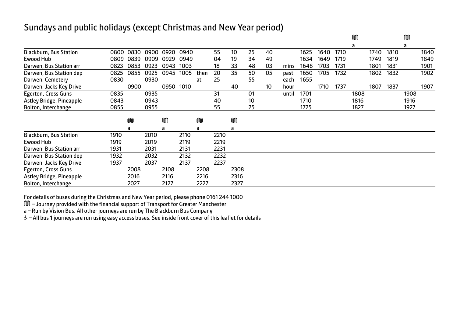#### Sundays and public holidays (except Christmas and New Year period)

|                               |      |      |      |      |      |      |      |      |    |    |       |      |      |      | M    |      |      | M    |      |
|-------------------------------|------|------|------|------|------|------|------|------|----|----|-------|------|------|------|------|------|------|------|------|
|                               |      |      |      |      |      |      |      |      |    |    |       |      |      |      | a    |      |      | a    |      |
| <b>Blackburn, Bus Station</b> | 0800 | 0830 | 0900 | 0920 | 0940 |      | 55   | 10   | 25 | 40 |       | 1625 | 1640 | 1710 |      | 1740 | 1810 |      | 1840 |
| Ewood Hub                     | 0809 | 0839 | 0909 | 0929 | 0949 |      | 04   | 19   | 34 | 49 |       | 1634 | 1649 | 1719 |      | 1749 | 1819 |      | 1849 |
| Darwen, Bus Station arr       | 0823 | 0853 | 0923 | 0943 | 1003 |      | 18   | 33   | 48 | 03 | mins  | 1648 | 1703 | 1731 |      | 1801 | 1831 |      | 1901 |
| Darwen, Bus Station dep       | 0825 | 0855 | 0925 | 0945 | 1005 | then | 20   | 35   | 50 | 05 | past  | 1650 | 1705 | 1732 |      | 1802 | 1832 |      | 1902 |
| Darwen, Cemetery              | 0830 |      | 0930 |      |      | at   | 25   |      | 55 |    | each  | 1655 |      |      |      |      |      |      |      |
| Darwen, Jacks Key Drive       |      | 0900 |      | 0950 | 1010 |      |      | 40   |    | 10 | hour  |      | 1710 | 1737 |      | 1807 | 1837 |      | 1907 |
| Egerton, Cross Guns           | 0835 |      | 0935 |      |      |      | 31   |      | 01 |    | until | 1701 |      |      | 1808 |      |      | 1908 |      |
| Astley Bridge, Pineapple      | 0843 |      | 0943 |      |      |      | 40   |      | 10 |    |       | 1710 |      |      | 1816 |      |      | 1916 |      |
| Bolton, Interchange           | 0855 |      | 0955 |      |      |      | 55   |      | 25 |    |       | 1725 |      |      | 1827 |      |      | 1927 |      |
|                               |      | M    |      | M    |      | M    |      | M    |    |    |       |      |      |      |      |      |      |      |      |
|                               |      | a    |      | a    |      | a    |      | a    |    |    |       |      |      |      |      |      |      |      |      |
| <b>Blackburn, Bus Station</b> | 1910 |      | 2010 |      | 2110 |      | 2210 |      |    |    |       |      |      |      |      |      |      |      |      |
| Ewood Hub                     | 1919 |      | 2019 |      | 2119 |      | 2219 |      |    |    |       |      |      |      |      |      |      |      |      |
| Darwen, Bus Station arr       | 1931 |      | 2031 |      | 2131 |      | 2231 |      |    |    |       |      |      |      |      |      |      |      |      |
| Darwen, Bus Station dep       | 1932 |      | 2032 |      | 2132 |      | 2232 |      |    |    |       |      |      |      |      |      |      |      |      |
| Darwen, Jacks Key Drive       | 1937 |      | 2037 |      | 2137 |      | 2237 |      |    |    |       |      |      |      |      |      |      |      |      |
| Egerton, Cross Guns           |      | 2008 |      | 2108 |      | 2208 |      | 2308 |    |    |       |      |      |      |      |      |      |      |      |
| Astley Bridge, Pineapple      |      | 2016 |      | 2116 |      | 2216 |      | 2316 |    |    |       |      |      |      |      |      |      |      |      |
| Bolton, Interchange           |      | 2027 |      | 2127 |      | 2227 |      | 2327 |    |    |       |      |      |      |      |      |      |      |      |

For details of buses during the Christmas and New Year period, please phone 0161 244 1000

M – Journey provided with the financial support of Transport for Greater Manchester

a – Run by Vision Bus. All other journeys are run by The Blackburn Bus Company

& - All bus 1 journeys are run using easy access buses. See inside front cover of this leaflet for details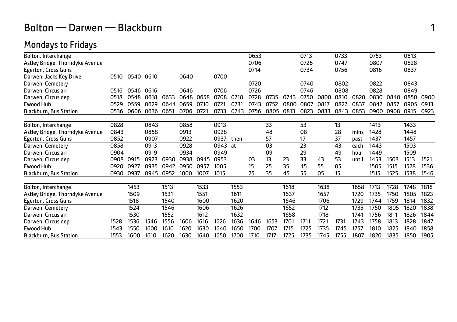# Bolton — Darwen — Blackburn 1

## Mondays to Fridays

|      |      |              |      |      |               |      |      | 0653 |      |      | 0713 |      | 0733 |       | 0753 |      | 0813 |      |
|------|------|--------------|------|------|---------------|------|------|------|------|------|------|------|------|-------|------|------|------|------|
|      |      |              |      |      |               |      |      | 0706 |      |      | 0726 |      | 0747 |       | 0807 |      | 0828 |      |
|      |      |              |      |      |               |      |      | 0714 |      |      | 0734 |      | 0756 |       | 0816 |      | 0837 |      |
| 0510 |      | 0610         |      | 0640 |               | 0700 |      |      |      |      |      |      |      |       |      |      |      |      |
|      |      |              |      |      |               |      |      | 0720 |      |      | 0740 |      | 0802 |       | 0822 |      | 0843 |      |
| 0516 | 0546 | 0616         |      | 0646 |               | 0706 |      | 0726 |      |      | 0746 |      | 0808 |       | 0828 |      | 0849 |      |
| 0518 | 0548 | 0618         | 0633 | 0648 | 0658          | 0708 | 0718 | 0728 | 0735 | 0743 | 0750 | 0800 | 0810 | 0820  | 0830 | 0840 | 0850 | 0900 |
| 0529 | 0559 | 0629         | 0644 | 0659 | 0710          | 0721 | 0731 | 0743 | 0752 | 0800 | 0807 | 0817 | 0827 | 0837  | 0847 | 0857 | 0905 | 0913 |
| 0536 | 0606 | 0636         | 0651 | 0706 | $072^{\circ}$ | 0733 | 0743 | 0756 | 0805 | 0813 | 0823 | 0833 | 0843 | 0853  | 0900 | 0908 | 0915 | 0923 |
|      |      |              |      |      |               |      |      |      |      |      |      |      |      |       |      |      |      |      |
| 0828 |      | 0843         |      | 0858 |               | 0913 |      |      | 33   |      | 53   |      | 13   |       | 1413 |      | 1433 |      |
| 0843 |      | 0858         |      | 0913 |               | 0928 |      |      | 48   |      | 08   |      | 28   | mins  | 1428 |      | 1448 |      |
| 0852 |      | 0907         |      | 0922 |               | 0937 | then |      | 57   |      | 17   |      | 37   | past  | 1437 |      | 1457 |      |
| 0858 |      | 0913         |      | 0928 |               | 0943 | at   |      | 03   |      | 23   |      | 43   | each  | 1443 |      | 1503 |      |
| 0904 |      | 0919         |      | 0934 |               | 0949 |      |      | 09   |      | 29   |      | 49   | hour  | 1449 |      | 1509 |      |
|      | 0915 | 0923         | 0930 | 0938 | 0945          | 0953 |      | 03   | 13   | 23   | 33   | 43   | 53   | until | 1453 | 1503 | 1513 | 1521 |
| 0920 | 0927 | 0935         | 0942 | 0950 | 0957          | 1005 |      | 15   | 25   | 35   | 45   | 55   | 05   |       | 1505 | 1515 | 1528 | 1536 |
|      | 0937 | 0945         | 0952 | 1000 | 1007          | 1015 |      | 25   | 35   | 45   | 55   | 05   | 15   |       | 1515 | 1525 | 1538 | 1546 |
|      |      |              |      |      |               |      |      |      |      |      |      |      |      |       |      |      |      |      |
|      | 1453 |              | 1513 |      | 1533          |      | 1553 |      |      | 1618 |      | 1638 |      | 1658  | 1713 | 1728 | 1748 | 1818 |
|      | 1509 |              | 1531 |      | 1551          |      | 1611 |      |      | 1637 |      | 1657 |      | 1720  | 1735 | 1750 | 1805 | 1823 |
|      | 1518 |              | 1540 |      | 1600          |      | 1620 |      |      | 1646 |      | 1706 |      | 1729  | 1744 | 1759 | 1814 | 1832 |
|      | 1524 |              | 1546 |      | 1606          |      | 1626 |      |      | 1652 |      | 1712 |      | 1735  | 1750 | 1805 | 1820 | 1838 |
|      | 1530 |              | 1552 |      | 1612          |      | 1632 |      |      | 1658 |      | 1718 |      | 1741  | 1756 | 1811 | 1826 | 1844 |
| 1528 | 1536 | 1546         | 1556 | 1606 | 1616          | 1626 | 1636 | 1646 | 1653 | 1701 | 171' | 1721 | 1731 | 1743  | 1758 | 1813 | 1828 | 1847 |
| 1543 | 1550 | 1600         | 1610 | 1620 | 1630          | 1640 | 1650 | 1700 | 1707 | 1715 | 1725 | 1735 | 1745 | 1757  | 1810 | 1825 | 1840 | 1858 |
| 1553 | 1600 | 1610         | 1620 | 1630 | 1640          | 1650 | 1700 | 1710 | 1717 | 1725 | 1735 | 1745 | 1755 | 1807  | 1820 | 1835 | 1850 | 1905 |
|      |      | 0908<br>0930 | 0540 |      |               |      |      |      |      |      |      |      |      |       |      |      |      |      |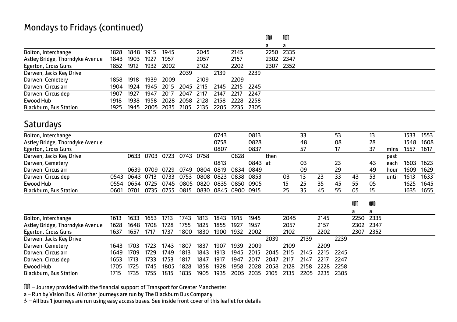|                                 |      |      |      |           |      |      |      |      |        | M         | ⋒ |  |
|---------------------------------|------|------|------|-----------|------|------|------|------|--------|-----------|---|--|
|                                 |      |      |      |           |      |      |      |      |        | a         | a |  |
| Bolton, Interchange             | 1828 | 1848 | 1915 | 1945      |      | 2045 |      | 2145 |        | 2250 2335 |   |  |
| Astley Bridge, Thorndyke Avenue | 1843 | 1903 | 1927 | 1957      |      | 2057 |      | 2157 |        | 2302 2347 |   |  |
| Egerton, Cross Guns             | 1852 | 1912 |      | 1932 2002 |      | 2102 |      | 2202 |        | 2307 2352 |   |  |
| Darwen, Jacks Key Drive         |      |      |      |           | 2039 |      | 2139 |      | 2239   |           |   |  |
| Darwen, Cemetery                | 1858 | 1918 | 1939 | 2009      |      | 2109 |      | 2209 |        |           |   |  |
| Darwen, Circus arr              | 1904 | 1924 | 1945 | 2015      | 2045 | 2115 | 2145 | 2215 | 2245   |           |   |  |
| Darwen, Circus dep              | 1907 | 1927 | 1947 | 2017      | 2047 | 2117 | 2147 | 2217 | 2247   |           |   |  |
| Ewood Hub                       | 1918 | 1938 | 1958 | 2028      | 2058 | 2128 | 2158 | 2228 | - 2258 |           |   |  |
| <b>Blackburn, Bus Station</b>   | 1925 | 1945 | 2005 | 2035      | 2105 | 2135 | 2205 | 2235 | 2305   |           |   |  |

#### **Saturdays**

| Bolton, Interchange             |      |           |           |      |           |      | 0743 |           | 0813    |      |    | 33 |    | 53 |    | 13 |       | 1533 | 1553 |
|---------------------------------|------|-----------|-----------|------|-----------|------|------|-----------|---------|------|----|----|----|----|----|----|-------|------|------|
| Astley Bridge, Thorndyke Avenue |      |           |           |      |           |      | 0758 |           | 0828    |      |    | 48 |    | 08 |    | 28 |       | 1548 | 1608 |
| Egerton, Cross Guns             |      |           |           |      |           |      | 0807 |           | 0837    |      |    | 57 |    | 17 |    | 37 | mins  | 1557 | 1617 |
| Darwen, Jacks Key Drive         |      |           | 0633 0703 | 0723 | 0743 0758 |      |      | 0828      |         | then |    |    |    |    |    |    | past  |      |      |
| Darwen, Cemetery                |      |           |           |      |           |      | 0813 |           | 0843 at |      |    | 03 |    | 23 |    | 43 | each  | 1603 | 1623 |
| Darwen, Circus arr              |      |           | 0639 0709 | 0729 | 0749      | 0804 | 0819 | 0834      | 0849    |      |    | 09 |    | 29 |    | 49 | hour  | 1609 | 1629 |
| Darwen, Circus dep              | 0543 | 0643 0713 |           | 0733 | 0753      | 0808 | 0823 | 0838      | 0853    |      | 03 |    | 23 | 33 | 43 | 53 | until | 1613 | 1633 |
| Ewood Hub                       | 0554 | 0654 0725 |           | 0745 | 0805      | 0820 | 0835 | 0850      | 0905    |      | 15 | 25 | 35 | 45 | 55 | 05 |       | 1625 | 1645 |
| <b>Blackburn, Bus Station</b>   | 0601 | 0701      | 0735      | 0755 | 0815      | 0830 | 0845 | 0900 0915 |         |      | 25 | 35 | 45 | 55 | 05 | 15 |       | 1635 | 1655 |

|                                 |      |      |      |      |      |      |      |      |      |      |        |      |      |      | M    | M         |  |
|---------------------------------|------|------|------|------|------|------|------|------|------|------|--------|------|------|------|------|-----------|--|
|                                 |      |      |      |      |      |      |      |      |      |      |        |      |      |      | a    | а         |  |
| Bolton, Interchange             | 1613 | 1633 | 1653 | 1713 | 1743 | 1813 | 1843 | 1915 | 1945 |      | 2045   |      | 2145 |      |      | 2250 2335 |  |
| Astley Bridge, Thorndyke Avenue | 1628 | 1648 | 1708 | 1728 | 1755 | 1825 | 1855 | 1927 | 1957 |      | 2057   |      | 2157 |      |      | 2302 2347 |  |
| Egerton, Cross Guns             | 1637 | 1657 | 1717 | 1737 | 1800 | 1830 | 1900 | 1932 | 2002 |      | 2102   |      | 2202 |      | 2307 | 2352      |  |
| Darwen, Jacks Key Drive         |      |      |      |      |      |      |      |      |      | 2039 |        | 2139 |      | 2239 |      |           |  |
| Darwen, Cemetery                | 1643 | 1703 | 1723 | 1743 | 1807 | 1837 | 1907 | 1939 | 2009 |      | 2109   |      | 2209 |      |      |           |  |
| Darwen, Circus arr              | 1649 | 1709 | 1729 | 1749 | 1813 | 1843 | 1913 | 1945 | 2015 | 2045 | - 2115 | 2145 | 2215 | 2245 |      |           |  |
| Darwen, Circus dep              | 1653 | 1713 | 1733 | 1753 | 1817 | 1847 | 1917 | 1947 | 2017 | 2047 | 2117   | 2147 | 2217 | 2247 |      |           |  |
| Ewood Hub                       | 1705 | 1725 | 1745 | 1805 | 1828 | 1858 | 1928 | 1958 | 2028 | 2058 | -2128  | 2158 | 2228 | 2258 |      |           |  |
| <b>Blackburn, Bus Station</b>   | 1715 | 1735 | 1755 | 1815 | 1835 | 1905 | 1935 | 2005 | 2035 | 2105 | 2135   | 2205 | 2235 | 2305 |      |           |  |

 $\widehat{m}$  – Journey provided with the financial support of Transport for Greater Manchester

a – Run by Vision Bus. All other journeys are run by The Blackburn Bus Company

W– All bus 1 journeys are run using easy access buses. See inside front cover of this leaflet for details